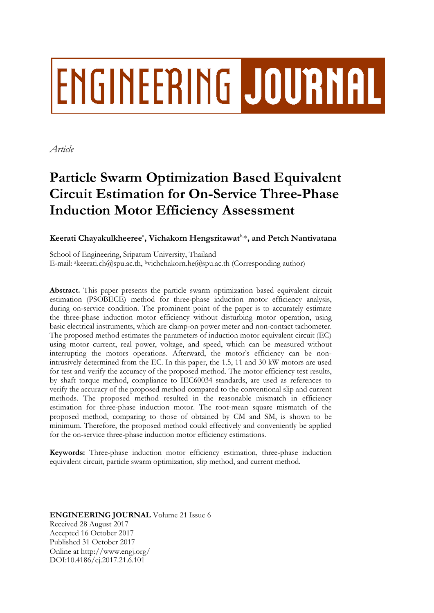# **ENGINEERING JOURNAL**

*Article*

# **Particle Swarm Optimization Based Equivalent Circuit Estimation for On-Service Three-Phase Induction Motor Efficiency Assessment**

# $\mathbf K$ eerati Chayakulkheeree $^\circ$ , Vichakorn Hengsritawat $^\mathrm{b,*},$  and Petch Nantivatana

School of Engineering, Sripatum University, Thailand E-mail: akeerati.ch@spu.ac.th, <sup>b</sup>vichchakorn.he@spu.ac.th (Corresponding author)

**Abstract.** This paper presents the particle swarm optimization based equivalent circuit estimation (PSOBECE) method for three-phase induction motor efficiency analysis, during on-service condition. The prominent point of the paper is to accurately estimate the three-phase induction motor efficiency without disturbing motor operation, using basic electrical instruments, which are clamp-on power meter and non-contact tachometer. The proposed method estimates the parameters of induction motor equivalent circuit (EC) using motor current, real power, voltage, and speed, which can be measured without interrupting the motors operations. Afterward, the motor's efficiency can be nonintrusively determined from the EC. In this paper, the 1.5, 11 and 30 kW motors are used for test and verify the accuracy of the proposed method. The motor efficiency test results, by shaft torque method, compliance to IEC60034 standards, are used as references to verify the accuracy of the proposed method compared to the conventional slip and current methods. The proposed method resulted in the reasonable mismatch in efficiency estimation for three-phase induction motor. The root-mean square mismatch of the proposed method, comparing to those of obtained by CM and SM, is shown to be minimum. Therefore, the proposed method could effectively and conveniently be applied for the on-service three-phase induction motor efficiency estimations.

**Keywords:** Three-phase induction motor efficiency estimation, three-phase induction equivalent circuit, particle swarm optimization, slip method, and current method.

**ENGINEERING JOURNAL** Volume 21 Issue 6 Received 28 August 2017 Accepted 16 October 2017 Published 31 October 2017 Online at http://www.engj.org/ DOI:10.4186/ej.2017.21.6.101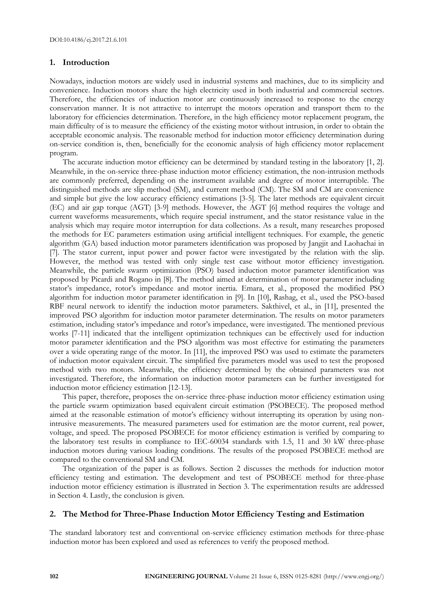# **1. Introduction**

Nowadays, induction motors are widely used in industrial systems and machines, due to its simplicity and convenience. Induction motors share the high electricity used in both industrial and commercial sectors. Therefore, the efficiencies of induction motor are continuously increased to response to the energy conservation manner. It is not attractive to interrupt the motors operation and transport them to the laboratory for efficiencies determination. Therefore, in the high efficiency motor replacement program, the main difficulty of is to measure the efficiency of the existing motor without intrusion, in order to obtain the acceptable economic analysis. The reasonable method for induction motor efficiency determination during on-service condition is, then, beneficially for the economic analysis of high efficiency motor replacement program.

The accurate induction motor efficiency can be determined by standard testing in the laboratory [1, 2]. Meanwhile, in the on-service three-phase induction motor efficiency estimation, the non-intrusion methods are commonly preferred, depending on the instrument available and degree of motor interruptible. The distinguished methods are slip method (SM), and current method (CM). The SM and CM are convenience and simple but give the low accuracy efficiency estimations [3-5]. The later methods are equivalent circuit (EC) and air gap torque (AGT) [3-9] methods. However, the AGT [6] method requires the voltage and current waveforms measurements, which require special instrument, and the stator resistance value in the analysis which may require motor interruption for data collections. As a result, many researches proposed the methods for EC parameters estimation using artificial intelligent techniques. For example, the genetic algorithm (GA) based induction motor parameters identification was proposed by Jangjit and Laohachai in [7]. The stator current, input power and power factor were investigated by the relation with the slip. However, the method was tested with only single test case without motor efficiency investigation. Meanwhile, the particle swarm optimization (PSO) based induction motor parameter identification was proposed by Picardi and Rogano in [8]. The method aimed at determination of motor parameter including stator's impedance, rotor's impedance and motor inertia. Emara, et al., proposed the modified PSO algorithm for induction motor parameter identification in [9]. In [10], Rashag, et al., used the PSO-based RBF neural network to identify the induction motor parameters. Sakthivel, et al., in [11], presented the improved PSO algorithm for induction motor parameter determination. The results on motor parameters estimation, including stator's impedance and rotor's impedance, were investigated. The mentioned previous works [7-11] indicated that the intelligent optimization techniques can be effectively used for induction motor parameter identification and the PSO algorithm was most effective for estimating the parameters over a wide operating range of the motor. In [11], the improved PSO was used to estimate the parameters of induction motor equivalent circuit. The simplified five parameters model was used to test the proposed method with two motors. Meanwhile, the efficiency determined by the obtained parameters was not investigated. Therefore, the information on induction motor parameters can be further investigated for induction motor efficiency estimation [12-13].

This paper, therefore, proposes the on-service three-phase induction motor efficiency estimation using the particle swarm optimization based equivalent circuit estimation (PSOBECE). The proposed method aimed at the reasonable estimation of motor's efficiency without interrupting its operation by using nonintrusive measurements. The measured parameters used for estimation are the motor current, real power, voltage, and speed. The proposed PSOBECE for motor efficiency estimation is verified by comparing to the laboratory test results in compliance to IEC-60034 standards with 1.5, 11 and 30 kW three-phase induction motors during various loading conditions. The results of the proposed PSOBECE method are compared to the conventional SM and CM.

The organization of the paper is as follows. Section 2 discusses the methods for induction motor efficiency testing and estimation. The development and test of PSOBECE method for three-phase induction motor efficiency estimation is illustrated in Section 3. The experimentation results are addressed in Section 4. Lastly, the conclusion is given.

#### **2. The Method for Three-Phase Induction Motor Efficiency Testing and Estimation**

The standard laboratory test and conventional on-service efficiency estimation methods for three-phase induction motor has been explored and used as references to verify the proposed method.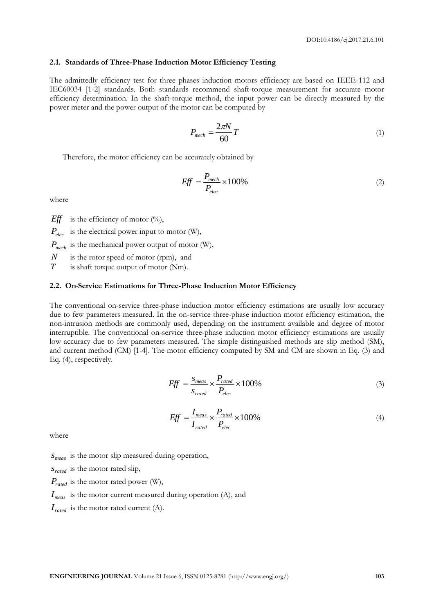## **2.1. Standards of Three-Phase Induction Motor Efficiency Testing**

The admittedly efficiency test for three phases induction motors efficiency are based on IEEE-112 and IEC60034 [1-2] standards. Both standards recommend shaft-torque measurement for accurate motor efficiency determination. In the shaft-torque method, the input power can be directly measured by the power meter and the power output of the motor can be computed by

$$
P_{mech} = \frac{2\pi N}{60}T\tag{1}
$$

Therefore, the motor efficiency can be accurately obtained by

$$
Eff = \frac{P_{mech}}{P_{elec}} \times 100\%
$$
 (2)

where

*Eff* is the efficiency of motor  $(\%)$ ,

*Pelec* is the electrical power input to motor (W),

$$
P_{mech}
$$
 is the mechanical power output of motor (W),

*N* is the rotor speed of motor (rpm), and

*T* is shaft torque output of motor (Nm).

## **2.2. On-Service Estimations for Three-Phase Induction Motor Efficiency**

The conventional on-service three-phase induction motor efficiency estimations are usually low accuracy due to few parameters measured. In the on-service three-phase induction motor efficiency estimation, the non-intrusion methods are commonly used, depending on the instrument available and degree of motor interruptible. The conventional on-service three-phase induction motor efficiency estimations are usually low accuracy due to few parameters measured. The simple distinguished methods are slip method (SM), and current method (CM) [1-4]. The motor efficiency computed by SM and CM are shown in Eq. (3) and Eq. (4), respectively.

$$
Eff = \frac{s_{meas}}{s_{rated}} \times \frac{P_{rated}}{P_{elec}} \times 100\%
$$
\n(3)

$$
Eff = \frac{I_{meas}}{I_{rated}} \times \frac{P_{rated}}{P_{elec}} \times 100\%
$$
\n
$$
\tag{4}
$$

where

*meas s* is the motor slip measured during operation,

*rated s* is the motor rated slip,

*Prated* is the motor rated power (W),

*meas I* is the motor current measured during operation (A), and

 $I_{rated}$  is the motor rated current (A).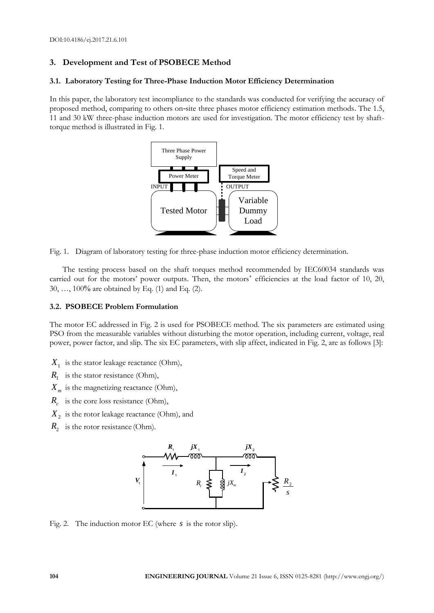# **3. Development and Test of PSOBECE Method**

# **3.1. Laboratory Testing for Three-Phase Induction Motor Efficiency Determination**

In this paper, the laboratory test incompliance to the standards was conducted for verifying the accuracy of proposed method, comparing to others on-site three phases motor efficiency estimation methods. The 1.5, 11 and 30 kW three-phase induction motors are used for investigation. The motor efficiency test by shafttorque method is illustrated in Fig. 1.



Fig. 1. Diagram of laboratory testing for three-phase induction motor efficiency determination.

The testing process based on the shaft torques method recommended by IEC60034 standards was carried out for the motors' power outputs. Then, the motors' efficiencies at the load factor of 10, 20, 30, …, 100% are obtained by Eq. (1) and Eq. (2).

# **3.2. PSOBECE Problem Formulation**

The motor EC addressed in Fig. 2 is used for PSOBECE method. The six parameters are estimated using PSO from the measurable variables without disturbing the motor operation, including current, voltage, real power, power factor, and slip. The six EC parameters, with slip affect, indicated in Fig. 2, are as follows [3]:

- *X*1 is the stator leakage reactance (Ohm),
- $R_1$  is the stator resistance (Ohm),
- $X_m$  is the magnetizing reactance (Ohm),
- *Rc* is the core loss resistance (Ohm),
- $X_2$  is the rotor leakage reactance (Ohm), and
- $R_2$  is the rotor resistance (Ohm).



Fig. 2. The induction motor EC (where *s* is the rotor slip).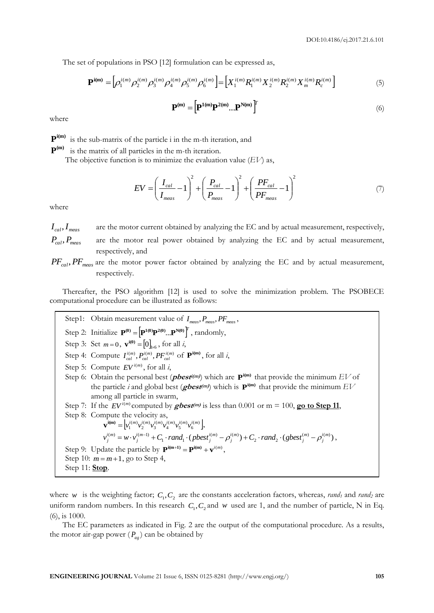The set of populations in PSO [12] formulation can be expressed as,

$$
\mathbf{P}^{\mathbf{i}(\mathbf{m})} = \left[ \rho_1^{\mathbf{i}(m)} \rho_2^{\mathbf{i}(m)} \rho_3^{\mathbf{i}(m)} \rho_4^{\mathbf{i}(m)} \rho_5^{\mathbf{i}(m)} \rho_6^{\mathbf{i}(m)} \right] = \left[ X_1^{\mathbf{i}(m)} R_1^{\mathbf{i}(m)} X_2^{\mathbf{i}(m)} R_2^{\mathbf{i}(m)} X_m^{\mathbf{i}(m)} R_c^{\mathbf{i}(m)} \right]
$$
(5)

$$
\mathbf{P}^{(m)} = \left[\mathbf{P}^{1(m)}\mathbf{P}^{2(m)}...\mathbf{P}^{N(m)}\right]^T
$$
 (6)

where

 $\mathbf{P}^{i(\mathbf{m})}$  is the sub-matrix of the particle i in the m-th iteration, and

 $\mathbf{P}^{(m)}$  is the matrix of all particles in the m-th iteration.

The objective function is to minimize the evaluation value  $(EV)$  as,

$$
EV = \left(\frac{I_{cal}}{I_{meas}} - 1\right)^2 + \left(\frac{P_{cal}}{P_{meas}} - 1\right)^2 + \left(\frac{PF_{cal}}{PF_{meas}} - 1\right)^2 \tag{7}
$$

where

 $I_{cal}$ *, I<sub>meas</sub>* are the motor current obtained by analyzing the EC and by actual measurement, respectively,  $P_{cal}$ *P*<sub>*meas*</sub> are the motor real power obtained by analyzing the EC and by actual measurement, respectively, and

PF<sub>cal</sub>, PF<sub>meas</sub> are the motor power factor obtained by analyzing the EC and by actual measurement, respectively.

Thereafter, the PSO algorithm [12] is used to solve the minimization problem. The PSOBECE computational procedure can be illustrated as follows:

Step1: Obtain measurement value of  $I_{meas}$ ,  $P_{meas}$ ,  $PF_{meas}$ , Step 2: Initialize  $P^{(0)} = [P^{1(0)}P^{2(0)}...P^{N(0)}]^T$ , randomly, Step 3: Set  $m = 0$ ,  $\mathbf{v}^{i(0)} = [0]_{1 \times 6}$ , for all *i*, Step 4: Compute  $I_{cal}^{i(m)}$ ,  $P_{cal}^{i(m)}$ ,  $P_{cal}^{i(m)}$  of  $\mathbf{P}^{i(m)}$ , for all *i*, Step 5: Compute  $EV^{i(m)}$ , for all *i*, Step 6: Obtain the personal best (*pbest<sup>i(m)</sup>*) which are  $P^{i(m)}$  that provide the minimum  $EV$  of the particle *i* and global best ( $gbest$ <sup>(m)</sup>)</sup> which is  $\mathbf{P}^{i(m)}$  that provide the minimum  $EV$ among all particle in swarm, Step 7: If the  $EV^{i(m)}$  computed by *gbest<sup>(m)</sup>* is less than 0.001 or m = 100, **go to Step 11**, Step 8: Compute the velocity as,  $\mathbf{v}^{i(m)} = \left[ v_1^{i(m)} v_2^{i(m)} v_3^{i(m)} v_4^{i(m)} v_5^{i(m)} v_6^{i(m)} \right],$  $v_j^{(m)} = w \cdot v_j^{(m-1)} + C_1 \cdot rand_1 \cdot (pbest_j^{(m)} - \rho_j^{(m)}) + C_2 \cdot rand_2 \cdot (gbest_j^{(m)} - \rho_j^{(m)}),$ Step 9: Update the particle by  $\mathbf{P}^{i(m+1)} = \mathbf{P}^{i(m)} + \mathbf{v}^{i(m)}$ , Step 10:  $m = m + 1$ , go to Step 4, Step 11: **Stop**.

where *w* is the weighting factor;  $C_1$ ,  $C_2$  are the constants acceleration factors, whereas, *rand<sub>1</sub>* and *rand*<sub>2</sub> are uniform random numbers. In this research  $C_1$ ,  $C_2$  and w used are 1, and the number of particle, N in Eq. (6), is 1000.

The EC parameters as indicated in Fig. 2 are the output of the computational procedure. As a results, the motor air-gap power  $(P_{ag})$  can be obtained by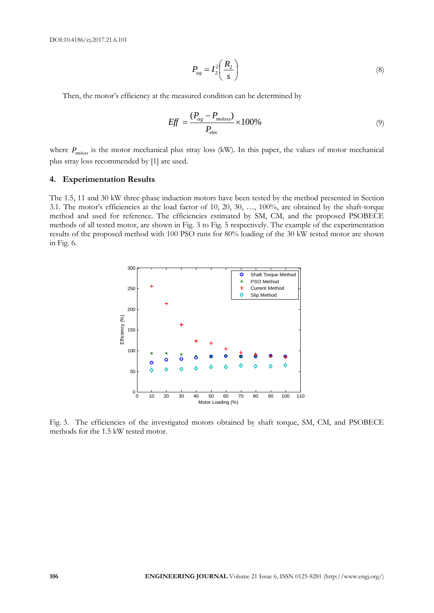$$
P_{ag} = I_2^2 \left(\frac{R_2}{s}\right) \tag{8}
$$

Then, the motor's efficiency at the measured condition can be determined by

$$
Eff = \frac{(P_{ag} - P_{msloss})}{P_{elec}} \times 100\%
$$
\n(9)

where  $P_{msloss}$  is the motor mechanical plus stray loss (kW). In this paper, the values of motor mechanical plus stray loss recommended by [1] are used.

#### **4. Experimentation Results**

The 1.5, 11 and 30 kW three-phase induction motors have been tested by the method presented in Section 3.1. The motor's efficiencies at the load factor of 10, 20, 30, …, 100%, are obtained by the shaft-torque method and used for reference. The efficiencies estimated by SM, CM, and the proposed PSOBECE methods of all tested motor, are shown in Fig. 3 to Fig. 5 respectively. The example of the experimentation results of the proposed method with 100 PSO runs for 80% loading of the 30 kW tested motor are shown in Fig. 6.



Fig. 3. The efficiencies of the investigated motors obtained by shaft torque, SM, CM, and PSOBECE methods for the 1.5 kW tested motor.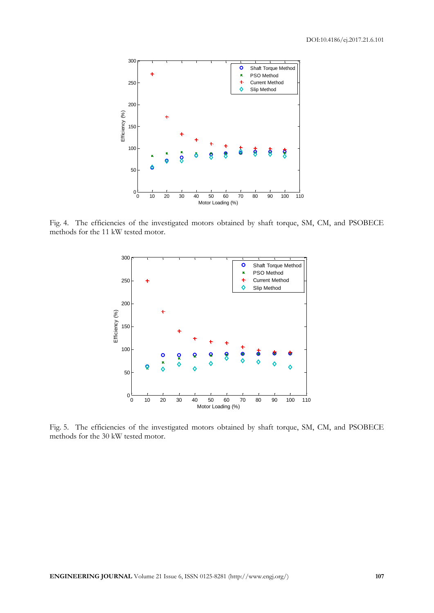

Fig. 4. The efficiencies of the investigated motors obtained by shaft torque, SM, CM, and PSOBECE methods for the 11 kW tested motor.



Fig. 5. The efficiencies of the investigated motors obtained by shaft torque, SM, CM, and PSOBECE methods for the 30 kW tested motor.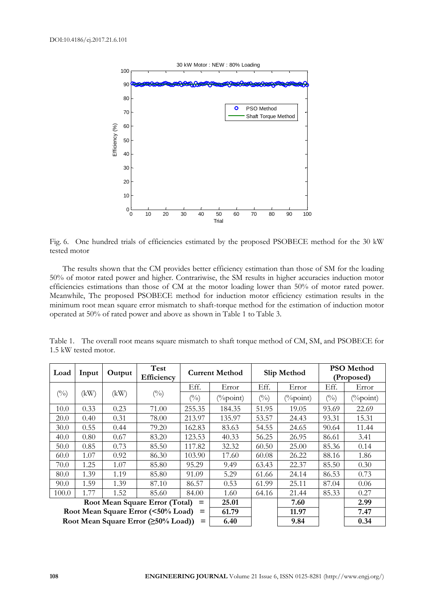

Fig. 6. One hundred trials of efficiencies estimated by the proposed PSOBECE method for the 30 kW tested motor

The results shown that the CM provides better efficiency estimation than those of SM for the loading 50% of motor rated power and higher. Contrariwise, the SM results in higher accuracies induction motor efficiencies estimations than those of CM at the motor loading lower than 50% of motor rated power. Meanwhile, The proposed PSOBECE method for induction motor efficiency estimation results in the minimum root mean square error mismatch to shaft-torque method for the estimation of induction motor operated at 50% of rated power and above as shown in Table 1 to Table 3.

| Load                                               | Input | Output | Test<br>Efficiency | <b>Current Method</b> |              | Slip Method    |                           | PSO Method<br>(Proposed) |              |
|----------------------------------------------------|-------|--------|--------------------|-----------------------|--------------|----------------|---------------------------|--------------------------|--------------|
| $(^{0}_{0})$                                       | (kW)  | (kW)   | $(^{0}_{0})$       | Eff.                  | Error        | Eff.           | Error                     | Eff.                     | Error        |
|                                                    |       |        |                    | (0/0)                 | $(\%$ point) | $\binom{0}{0}$ | $\left(\frac{9}{2}$ point | $\binom{0}{0}$           | $(\%$ point) |
| 10.0                                               | 0.33  | 0.23   | 71.00              | 255.35                | 184.35       | 51.95          | 19.05                     | 93.69                    | 22.69        |
| 20.0                                               | 0.40  | 0.31   | 78.00              | 213.97                | 135.97       | 53.57          | 24.43                     | 93.31                    | 15.31        |
| 30.0                                               | 0.55  | 0.44   | 79.20              | 162.83                | 83.63        | 54.55          | 24.65                     | 90.64                    | 11.44        |
| 40.0                                               | 0.80  | 0.67   | 83.20              | 123.53                | 40.33        | 56.25          | 26.95                     | 86.61                    | 3.41         |
| 50.0                                               | 0.85  | 0.73   | 85.50              | 117.82                | 32.32        | 60.50          | 25.00                     | 85.36                    | 0.14         |
| 60.0                                               | 1.07  | 0.92   | 86.30              | 103.90                | 17.60        | 60.08          | 26.22                     | 88.16                    | 1.86         |
| 70.0                                               | 1.25  | 1.07   | 85.80              | 95.29                 | 9.49         | 63.43          | 22.37                     | 85.50                    | 0.30         |
| 80.0                                               | 1.39  | 1.19   | 85.80              | 91.09                 | 5.29         | 61.66          | 24.14                     | 86.53                    | 0.73         |
| 90.0                                               | 1.59  | 1.39   | 87.10              | 86.57                 | 0.53         | 61.99          | 25.11                     | 87.04                    | 0.06         |
| 100.0                                              | 1.77  | 1.52   | 85.60              | 84.00                 | 1.60         | 64.16          | 21.44                     | 85.33                    | 0.27         |
| Root Mean Square Error (Total)<br>$=$              |       |        |                    | 25.01                 |              | 7.60           |                           | 2.99                     |              |
| Root Mean Square Error (<50% Load)<br>$=$          |       |        |                    | 61.79                 |              | 11.97          |                           | 7.47                     |              |
| Root Mean Square Error ( $\geq 50\%$ Load))<br>$=$ |       |        |                    |                       | 6.40         |                | 9.84                      |                          | 0.34         |

Table 1. The overall root means square mismatch to shaft torque method of CM, SM, and PSOBECE for 1.5 kW tested motor.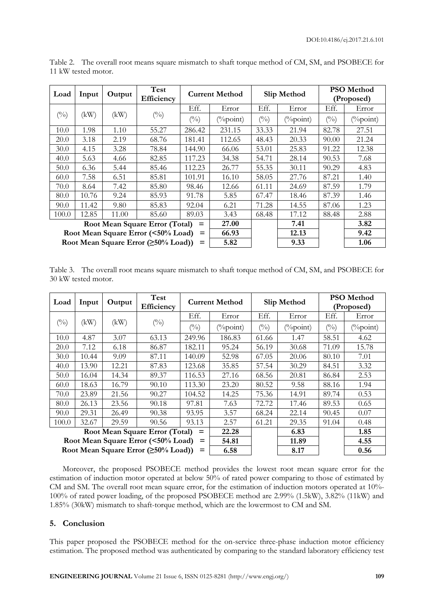| Load                                               | Input | Output | Test<br>Efficiency | <b>Current Method</b> |                     | Slip Method    |              | <b>PSO</b> Method<br>(Proposed) |                     |
|----------------------------------------------------|-------|--------|--------------------|-----------------------|---------------------|----------------|--------------|---------------------------------|---------------------|
| $(^{0}_{0})$                                       | (kW)  | (kW)   | $(^{0}_{0})$       | Eff.                  | Error               | Eff.           | Error        | Eff.                            | Error               |
|                                                    |       |        |                    | $\binom{0}{0}$        | $(^{0}/_{0}$ point) | $\binom{0}{0}$ | $(\%$ point) | $\binom{0}{0}$                  | $(^{0}/_{0}$ point) |
| 10.0                                               | 1.98  | 1.10   | 55.27              | 286.42                | 231.15              | 33.33          | 21.94        | 82.78                           | 27.51               |
| 20.0                                               | 3.18  | 2.19   | 68.76              | 181.41                | 112.65              | 48.43          | 20.33        | 90.00                           | 21.24               |
| 30.0                                               | 4.15  | 3.28   | 78.84              | 144.90                | 66.06               | 53.01          | 25.83        | 91.22                           | 12.38               |
| 40.0                                               | 5.63  | 4.66   | 82.85              | 117.23                | 34.38               | 54.71          | 28.14        | 90.53                           | 7.68                |
| 50.0                                               | 6.36  | 5.44   | 85.46              | 112.23                | 26.77               | 55.35          | 30.11        | 90.29                           | 4.83                |
| 60.0                                               | 7.58  | 6.51   | 85.81              | 101.91                | 16.10               | 58.05          | 27.76        | 87.21                           | 1.40                |
| 70.0                                               | 8.64  | 7.42   | 85.80              | 98.46                 | 12.66               | 61.11          | 24.69        | 87.59                           | 1.79                |
| 80.0                                               | 10.76 | 9.24   | 85.93              | 91.78                 | 5.85                | 67.47          | 18.46        | 87.39                           | 1.46                |
| 90.0                                               | 11.42 | 9.80   | 85.83              | 92.04                 | 6.21                | 71.28          | 14.55        | 87.06                           | 1.23                |
| 100.0                                              | 12.85 | 11.00  | 85.60              | 89.03                 | 3.43                | 68.48          | 17.12        | 88.48                           | 2.88                |
| Root Mean Square Error (Total)<br>$=$              |       |        |                    | 27.00                 |                     | 7.41           |              | 3.82                            |                     |
| Root Mean Square Error (<50% Load)<br>$=$          |       |        |                    | 66.93                 |                     | 12.13          |              | 9.42                            |                     |
| Root Mean Square Error ( $\geq 50\%$ Load))<br>$=$ |       |        |                    |                       | 5.82                |                | 9.33         |                                 | 1.06                |

Table 2. The overall root means square mismatch to shaft torque method of CM, SM, and PSOBECE for 11 kW tested motor.

Table 3. The overall root means square mismatch to shaft torque method of CM, SM, and PSOBECE for 30 kW tested motor.

| Load                                               | Input | Output | Test<br>Efficiency | <b>Current Method</b> |                     | Slip Method  |              | <b>PSO</b> Method<br>(Proposed) |              |
|----------------------------------------------------|-------|--------|--------------------|-----------------------|---------------------|--------------|--------------|---------------------------------|--------------|
| $(^{0}/_{0})$                                      | (kW)  | (kW)   | $(^{0}_{0})$       | Eff.                  | Error               | Eff.         | Error        | Eff.                            | Error        |
|                                                    |       |        |                    | $\binom{0}{0}$        | $(^{0}/_{0}$ point) | $(^{0}_{0})$ | $(\%$ point) | (0/0)                           | $(\%$ point) |
| 10.0                                               | 4.87  | 3.07   | 63.13              | 249.96                | 186.83              | 61.66        | 1.47         | 58.51                           | 4.62         |
| 20.0                                               | 7.12  | 6.18   | 86.87              | 182.11                | 95.24               | 56.19        | 30.68        | 71.09                           | 15.78        |
| 30.0                                               | 10.44 | 9.09   | 87.11              | 140.09                | 52.98               | 67.05        | 20.06        | 80.10                           | 7.01         |
| 40.0                                               | 13.90 | 12.21  | 87.83              | 123.68                | 35.85               | 57.54        | 30.29        | 84.51                           | 3.32         |
| 50.0                                               | 16.04 | 14.34  | 89.37              | 116.53                | 27.16               | 68.56        | 20.81        | 86.84                           | 2.53         |
| 60.0                                               | 18.63 | 16.79  | 90.10              | 113.30                | 23.20               | 80.52        | 9.58         | 88.16                           | 1.94         |
| 70.0                                               | 23.89 | 21.56  | 90.27              | 104.52                | 14.25               | 75.36        | 14.91        | 89.74                           | 0.53         |
| 80.0                                               | 26.13 | 23.56  | 90.18              | 97.81                 | 7.63                | 72.72        | 17.46        | 89.53                           | 0.65         |
| 90.0                                               | 29.31 | 26.49  | 90.38              | 93.95                 | 3.57                | 68.24        | 22.14        | 90.45                           | 0.07         |
| 100.0                                              | 32.67 | 29.59  | 90.56              | 93.13                 | 2.57                | 61.21        | 29.35        | 91.04                           | 0.48         |
| Root Mean Square Error (Total)<br>$=$              |       |        |                    | 22.28                 |                     | 6.83         |              | 1.85                            |              |
| Root Mean Square Error (<50% Load)<br>$=$          |       |        |                    | 54.81                 |                     | 11.89        |              | 4.55                            |              |
| Root Mean Square Error ( $\geq 50\%$ Load))<br>$=$ |       |        |                    |                       | 6.58                |              | 8.17         |                                 | 0.56         |

Moreover, the proposed PSOBECE method provides the lowest root mean square error for the estimation of induction motor operated at below 50% of rated power comparing to those of estimated by CM and SM. The overall root mean square error, for the estimation of induction motors operated at 10%- 100% of rated power loading, of the proposed PSOBECE method are 2.99% (1.5kW), 3.82% (11kW) and 1.85% (30kW) mismatch to shaft-torque method, which are the lowermost to CM and SM.

# **5. Conclusion**

This paper proposed the PSOBECE method for the on-service three-phase induction motor efficiency estimation. The proposed method was authenticated by comparing to the standard laboratory efficiency test